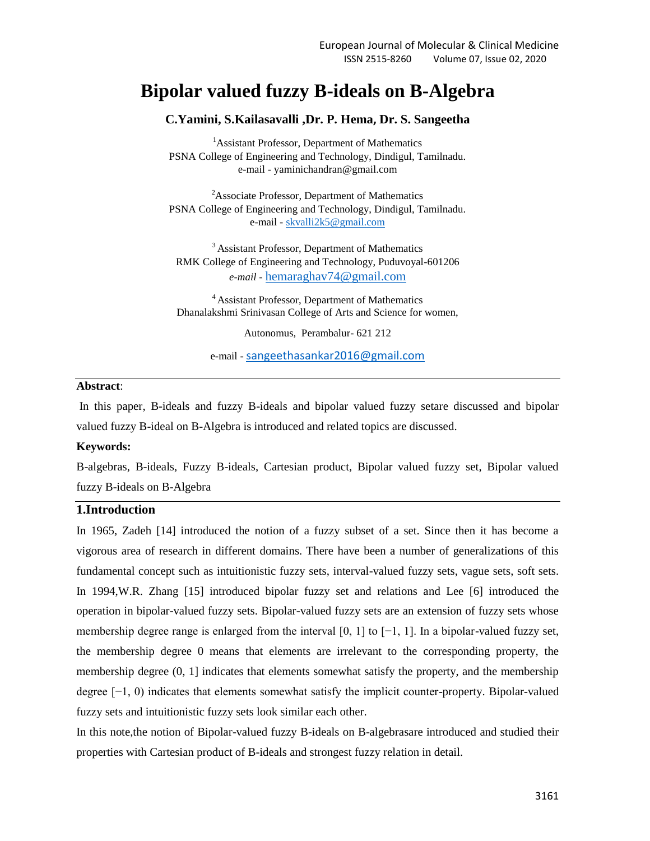# **Bipolar valued fuzzy B-ideals on B-Algebra**

### **C.Yamini, S.Kailasavalli ,Dr. P. Hema, Dr. S. Sangeetha**

<sup>1</sup>Assistant Professor, Department of Mathematics PSNA College of Engineering and Technology, Dindigul, Tamilnadu. e-mail - yaminichandran@gmail.com

<sup>2</sup>Associate Professor, Department of Mathematics PSNA College of Engineering and Technology, Dindigul, Tamilnadu. e-mail - [skvalli2k5@gmail.com](mailto:skvalli2k5@gmail.com)

<sup>3</sup> Assistant Professor, Department of Mathematics RMK College of Engineering and Technology, Puduvoyal-601206 *e-mail -* [hemaraghav74@gmail.com](mailto:hemaraghav74@gmail.com)

<sup>4</sup>Assistant Professor, Department of Mathematics Dhanalakshmi Srinivasan College of Arts and Science for women,

Autonomus, Perambalur- 621 212

e-mail - sangeethasankar2016@gmail.com

## **Abstract**:

In this paper, B-ideals and fuzzy B-ideals and bipolar valued fuzzy setare discussed and bipolar valued fuzzy B-ideal on B-Algebra is introduced and related topics are discussed.

#### **Keywords:**

B-algebras, B-ideals, Fuzzy B-ideals, Cartesian product, Bipolar valued fuzzy set, Bipolar valued fuzzy B-ideals on B-Algebra

## **1.Introduction**

In 1965, Zadeh [14] introduced the notion of a fuzzy subset of a set. Since then it has become a vigorous area of research in different domains. There have been a number of generalizations of this fundamental concept such as intuitionistic fuzzy sets, interval-valued fuzzy sets, vague sets, soft sets. In 1994,W.R. Zhang [15] introduced bipolar fuzzy set and relations and Lee [6] introduced the operation in bipolar-valued fuzzy sets. Bipolar-valued fuzzy sets are an extension of fuzzy sets whose membership degree range is enlarged from the interval  $[0, 1]$  to  $[-1, 1]$ . In a bipolar-valued fuzzy set, the membership degree 0 means that elements are irrelevant to the corresponding property, the membership degree (0, 1] indicates that elements somewhat satisfy the property, and the membership degree [−1, 0) indicates that elements somewhat satisfy the implicit counter-property. Bipolar-valued fuzzy sets and intuitionistic fuzzy sets look similar each other.

In this note,the notion of Bipolar-valued fuzzy B-ideals on B-algebrasare introduced and studied their properties with Cartesian product of B-ideals and strongest fuzzy relation in detail.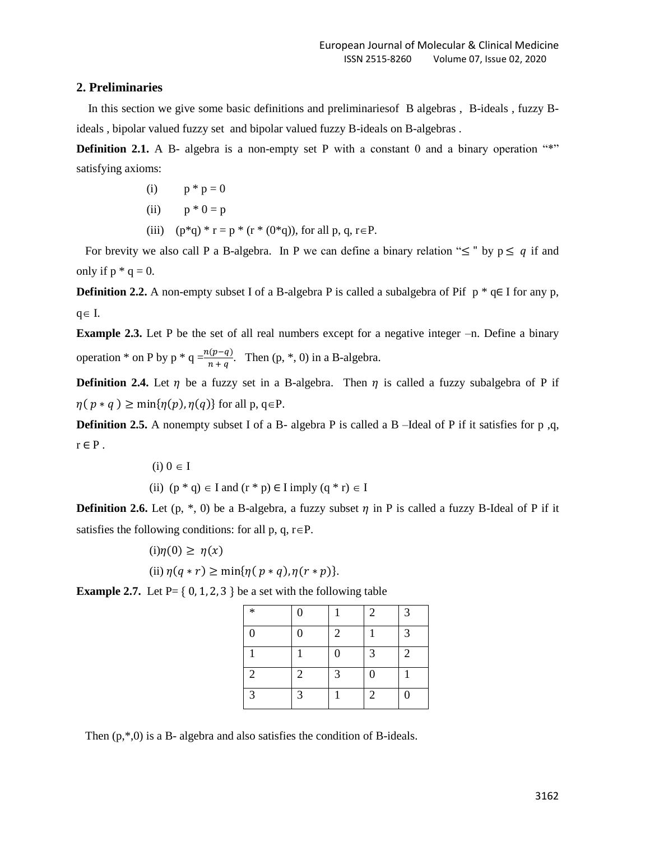## **2. Preliminaries**

 In this section we give some basic definitions and preliminariesof B algebras , B-ideals , fuzzy Bideals , bipolar valued fuzzy set and bipolar valued fuzzy B-ideals on B-algebras .

**Definition 2.1.** A B- algebra is a non-empty set P with a constant 0 and a binary operation "\*" satisfying axioms:

- (i)  $p * p = 0$
- (ii)  $p * 0 = p$
- (iii)  $(p^*q)^*r = p^* (r^* (0^*q))$ , for all p, q, r  $\in P$ .

For brevity we also call P a B-algebra. In P we can define a binary relation " $\leq$ " by  $p \leq q$  if and only if  $p * q = 0$ .

**Definition 2.2.** A non-empty subset I of a B-algebra P is called a subalgebra of Pif  $p * q \in I$  for any p,  $q \in I$ .

**Example 2.3.** Let P be the set of all real numbers except for a negative integer –n. Define a binary operation  $*$  on P by p  $*$  q =  $\frac{n}{2}$  $\frac{\ln(P-q)}{n+q}$ . Then (p, \*, 0) in a B-algebra.

**Definition 2.4.** Let  $\eta$  be a fuzzy set in a B-algebra. Then  $\eta$  is called a fuzzy subalgebra of P if  $\eta(p * q) \ge \min{\{\eta(p), \eta(q)\}}$  for all p, q  $\in$  P.

**Definition 2.5.** A nonempty subset I of a B- algebra P is called a B-Ideal of P if it satisfies for p,q,  $r \in P$ .

$$
(i) 0 \in I
$$

(ii)  $(p * q) \in I$  and  $(r * p) \in I$  imply  $(q * r) \in I$ 

**Definition 2.6.** Let  $(p, *, 0)$  be a B-algebra, a fuzzy subset  $\eta$  in P is called a fuzzy B-Ideal of P if it satisfies the following conditions: for all p, q,  $r \in P$ .

$$
(i)\eta(0) \ge \eta(x)
$$
  
(ii)  $\eta(q * r) \ge \min{\{\eta(p * q), \eta(r * p)\}}.$ 

**Example 2.7.** Let  $P = \{ 0, 1, 2, 3 \}$  be a set with the following table

| $\ast$           | $\boldsymbol{0}$ |                  | $\overline{2}$ | 3                |
|------------------|------------------|------------------|----------------|------------------|
| $\boldsymbol{0}$ | $\boldsymbol{0}$ | $\overline{2}$   |                | 3                |
|                  |                  | $\boldsymbol{0}$ | 3              | $\overline{2}$   |
| $\overline{2}$   | $\overline{2}$   | 3                | $\overline{0}$ |                  |
| 3                | 3                |                  | $\overline{2}$ | $\boldsymbol{0}$ |

Then  $(p,*,0)$  is a B- algebra and also satisfies the condition of B-ideals.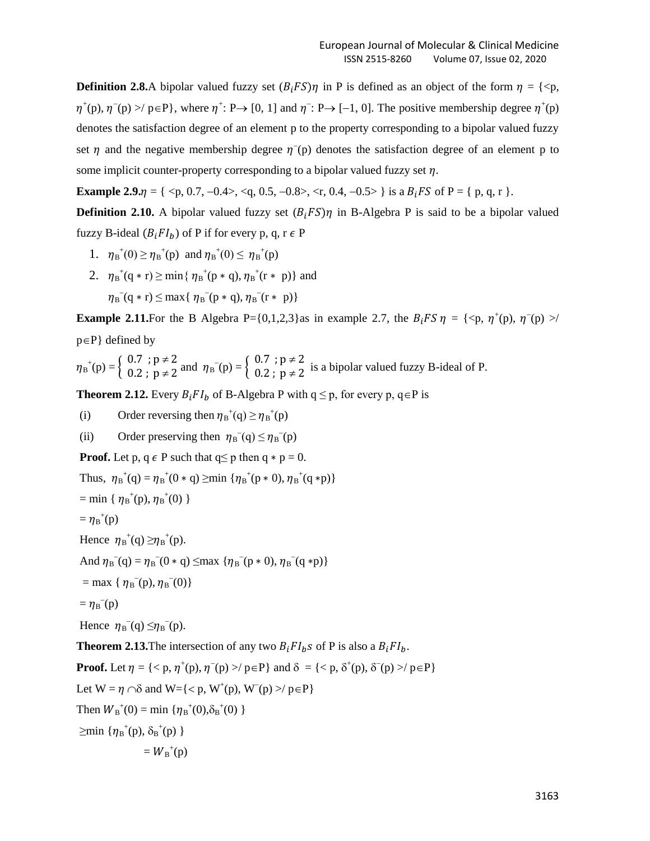**Definition 2.8.**A bipolar valued fuzzy set  $(B_i FS)\eta$  in P is defined as an object of the form  $\eta = \{\langle p, \rangle\}$  $\eta^+(p)$ ,  $\eta^-(p)$  >/  $p \in P$ }, where  $\eta^+$ : P $\rightarrow$  [0, 1] and  $\eta^-$ : P $\rightarrow$  [-1, 0]. The positive membership degree  $\eta^+(p)$ denotes the satisfaction degree of an element p to the property corresponding to a bipolar valued fuzzy set  $\eta$  and the negative membership degree  $\eta$ <sup>-</sup>(p) denotes the satisfaction degree of an element p to some implicit counter-property corresponding to a bipolar valued fuzzy set  $\eta$ .

**Example 2.9.** $\eta = \{ \langle p, 0.7, -0.4 \rangle, \langle q, 0.5, -0.8 \rangle, \langle r, 0.4, -0.5 \rangle \}$  is a  $B_f F S$  of P = { p, q, r }.

**Definition 2.10.** A bipolar valued fuzzy set  $(B_i F S) \eta$  in B-Algebra P is said to be a bipolar valued fuzzy B-ideal  $(B_i F I_h)$  of P if for every p, q, r  $\epsilon$  P

- 1.  $\eta_B^+(0) \geq \eta_B^+(p)$  and  $\eta_B^+(0) \leq \eta_B^+(p)$
- 2.  $\eta_B^+(q*r) \ge \min\{\eta_B^+(p*q), \eta_B^+(r*p)\}\$ and  $\eta_B^-(q*r) \leq \max\{ \eta_B^-(p*q), \eta_B^-(r*p) \}$

**Example 2.11.** For the B Algebra P={0,1,2,3} as in example 2.7, the  $B_i$  FS  $\eta = \{\langle p, \eta^+(p), \eta^-(p) \rangle \}$  $p \in P$ } defined by

$$
\eta_B^+(p) = \left\{ \begin{array}{ll} 0.7 \text{ }; p \neq 2 \\ 0.2 \text{ }; p \neq 2 \end{array} \text{and } \eta_B^-(p) = \left\{ \begin{array}{ll} 0.7 \text{ }; p \neq 2 \\ 0.2 \text{ }; p \neq 2 \end{array} \text{ is a bipolar valued fuzzy B-ideal of P.} \right.
$$

**Theorem 2.12.** Every  $B_i F I_b$  of B-Algebra P with  $q \leq p$ , for every p,  $q \in P$  is

(i) Order reversing then  $\eta_B^+(q) \ge \eta_B^+(p)$ 

(ii) Order preserving then  $\eta_B(q) \leq \eta_B(q)$ 

**Proof.** Let p,  $q \in P$  such that  $q \leq p$  then  $q * p = 0$ .

Thus,  $\eta_B^+(q) = \eta_B^+(0 \ast q) \ge \min \{ \eta_B^+(p \ast 0), \eta_B^+(q \ast p) \}$ 

 $=$  min {  $\eta_B^{\dagger}(p), \eta_B^{\dagger}(0)$  }

$$
= \eta_{B}^{+}(p)
$$

Hence  $\eta_B^{\dagger}(q) \geq \eta_B^{\dagger}(p)$ .

And  $\eta_B(q) = \eta_B(q) + q \leq \max \{ \eta_B(q) + q \}$ ,  $\eta_B(q)$ 

$$
= \max \{ \eta_{\mathcal{B}}^{-}(p), \eta_{\mathcal{B}}^{-}(0) \}
$$

 $= \eta_{\rm B}^{\text{--}}(\text{p})$ 

Hence  $\eta_B(q) \leq \eta_B(q)$ .

**Theorem 2.13.** The intersection of any two  $B_i F I_b$ s of P is also a  $B_i F I_b$ .

**Proof.** Let  $\eta = \{ \langle p, \eta^+(p), \eta^-(p) \rangle \neq p \}$  and  $\delta = \{ \langle p, \delta^+(p), \delta^-(p) \rangle \neq p \}$ Let  $W = \eta \cap \delta$  and  $W = \{ \langle p, W^+(p), W^-(p) \rangle / p \in P \}$ Then  $W_{B}^{+}(0) = \min \{ \eta_{B}^{+}(0), \delta_{B}^{+}(0) \}$  $\geq$ min { $\eta_{B}^{+}(p), \delta_{B}^{+}(p)$  }

$$
=W_{\mathrm{B}}^{+}(p)
$$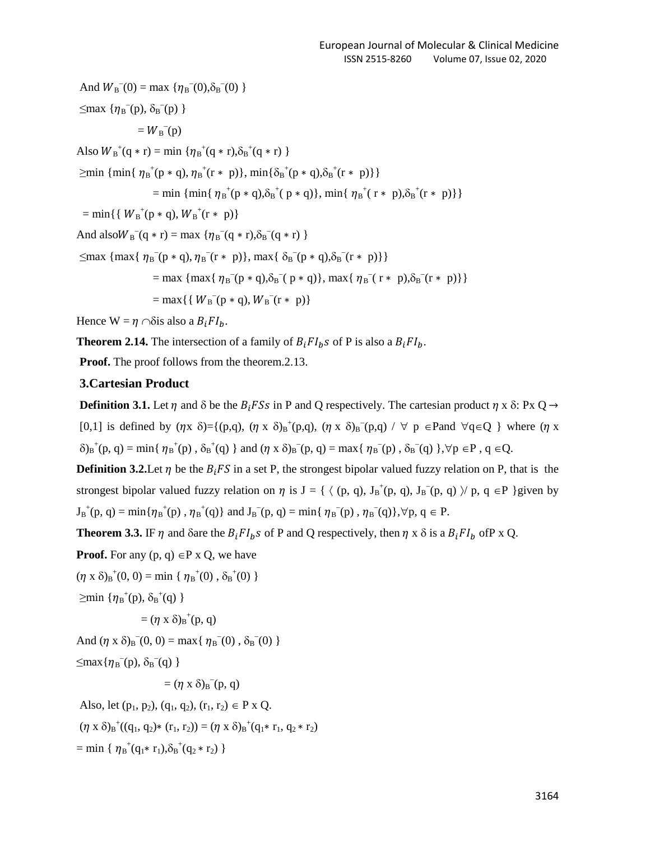And  $W_{\text{B}}(0) = \max \{ \eta_{\text{B}}(0), \delta_{\text{B}}(0) \}$  $\leq$ max  $\{\eta_{\mathbf{B}}^{-}(p), \delta_{\mathbf{B}}^{-}(p)\}$  $= W_{\text{B}}^{-}(p)$ Also  $W_{B}^{+}(q * r) = \min \{ \eta_{B}^{+}(q * r), \delta_{B}^{+}(q * r) \}$  $\geq$ min { min{  $\eta_{B}^{+}(p * q)$ ,  $\eta_{B}^{+}(r * p)$ }, min{ $\delta_{B}^{+}(p * q)$ ,  $\delta_{B}^{+}(r * p)$ }} = min { min{  $\eta_B^+(p * q), \delta_B^+(p * q)$ }, min{  $\eta_B^+(r * p), \delta_B^+(r * p)$ }  $=$  min{{  $W_{B}^{+}(p * q)$ ,  $W_{B}^{+}(r * p)$ } And also  $W_B^-(q * r) = \max \{ \eta_B^-(q * r), \delta_B^-(q * r) \}$  $\leq$ max { max{  $\eta_B^-(p * q)$ ,  $\eta_B^-(r * p)$ }, max{  $\delta_B^-(p * q)$ ,  $\delta_B^-(r * p)$ }} = max { max{  $\eta_B^-(p * q), \delta_B^-(p * q)$ }, max{  $\eta_B^-(r * p), \delta_B^-(r * p)$ }}  $=$  max{{ $W_{B}^{-}(p * q)$ ,  $W_{B}^{-}(r * p)$ }

Hence  $W = \eta \cap \delta$  is also a  $B_i F I_h$ .

**Theorem 2.14.** The intersection of a family of  $B_i F I_b$  of P is also a  $B_i F I_b$ .

**Proof.** The proof follows from the theorem.2.13.

#### **3.Cartesian Product**

**Definition 3.1.** Let  $\eta$  and  $\delta$  be the  $B_i$  FSs in P and Q respectively. The cartesian product  $\eta$  x  $\delta$ : Px Q  $\rightarrow$ [0,1] is defined by  $(\eta x \delta) = \{ (p,q), (\eta x \delta)_B^+(p,q), (\eta x \delta)_B^-(p,q) / \forall p \in P \text{ and } \forall q \in Q \}$  where  $(\eta x \delta)$  $\delta_b{}^{\dagger}(\mathbf{p}, \mathbf{q}) = \min\{\eta_{\mathbf{B}}{}^{\dagger}(\mathbf{p}), \delta_{\mathbf{B}}{}^{\dagger}(\mathbf{q})\}\$ and  $(\eta \times \delta)_{\mathbf{B}}{}^{\dagger}(\mathbf{p}, \mathbf{q}) = \max\{\eta_{\mathbf{B}}{}^{\dagger}(\mathbf{p}), \delta_{\mathbf{B}}{}^{\dagger}(\mathbf{q})\}\$ ,  $\forall \mathbf{p} \in \mathbf{P}$ ,  $\mathbf{q} \in \mathbf{Q}$ .

**Definition 3.2.** Let  $\eta$  be the  $B_i$  FS in a set P, the strongest bipolar valued fuzzy relation on P, that is the strongest bipolar valued fuzzy relation on  $\eta$  is  $J = \{ \langle (p, q), J_B^+(p, q), J_B^-(p, q) \rangle \mid p, q \in P \}$ given by  $J_B^+(p, q) = min\{\eta_B^+(p), \eta_B^+(q)\}\$ and  $J_B^-(p, q) = min\{\eta_B^-(p), \eta_B^-(q)\}, \forall p, q \in P$ .

**Theorem 3.3. IF**  $\eta$  **and**  $\delta$  **are the**  $B_iFI_bS$  **of P and Q respectively, then**  $\eta \times \delta$  **is a**  $B_iFI_b$  **of P x Q.** 

**Proof.** For any  $(p, q) \in P \times Q$ , we have

 $(\eta \times \delta)_{B}^{\dagger}(0, 0) = \min \{ \eta_{B}^{\dagger}(0), \delta_{B}^{\dagger}(0) \}$ 

 $\geq$ min { $\eta_{B}^{+}(p), \delta_{B}^{+}(q)$  }

$$
= (\eta \times \delta)_{B}^{+}(p, q)
$$

And  $(\eta \times \delta)_B^-(0, 0) = \max{\{\eta_B^-(0), \delta_B^-(0)\}\}\$ 

$$
\leq \max\{\eta_B^{-}(p),\,\delta_B^{-}(q)\,\}
$$

 $= (\eta \times \delta)_B^{\dagger}(\mathbf{p}, \mathbf{q})$ 

Also, let  $(p_1, p_2)$ ,  $(q_1, q_2)$ ,  $(r_1, r_2) \in P \times Q$ .

 $(\eta \times \delta)_{B}^+((q_1, q_2)*(r_1, r_2)) = (\eta \times \delta)_{B}^+(q_1*r_1, q_2*r_2)$ 

 $=$  min {  $\eta_B^+(q_1 * r_1), \delta_B^+(q_2 * r_2)$  }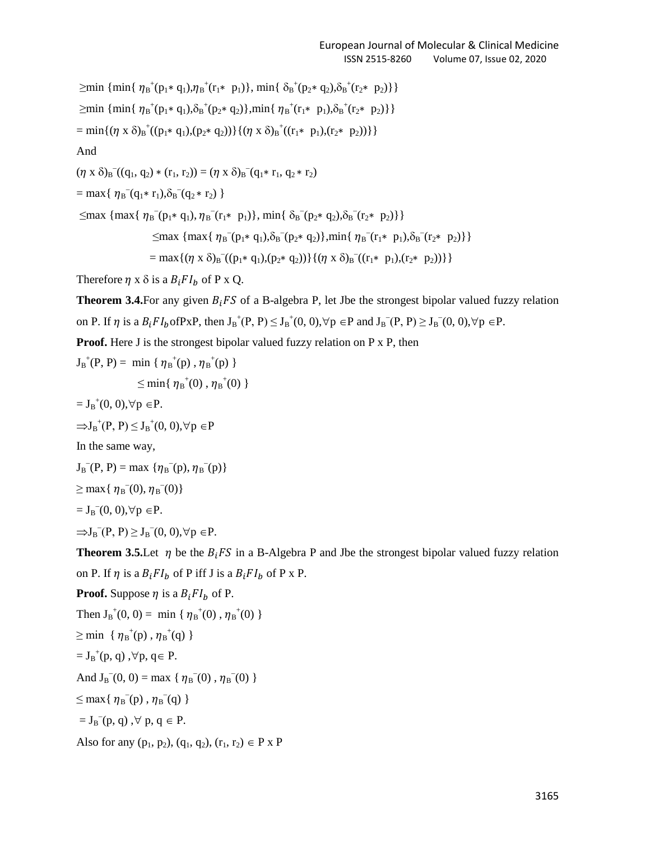$\geq$ min { min{  $\eta_B^+(p_1 * q_1), \eta_B^+(r_1 * p_1)$ }, min{  $\delta_B^+(p_2 * q_2), \delta_B^+(r_2 * p_2)$ }  $\geq$ min { min{  $\eta_B^+(p_1 * q_1), \delta_B^+(p_2 * q_2)$ },min{  $\eta_B^+(r_1 * p_1), \delta_B^+(r_2 * p_2)$ }  $= \min\{(\eta \times \delta)_{B}^{+}((p_{1} \ast q_{1}), (p_{2} \ast q_{2}))\} \{(\eta \times \delta)_{B}^{+}((r_{1} \ast p_{1}), (r_{2} \ast p_{2}))\}\}$ And

 $(\eta \times \delta)_{B}^{-}((q_{1}, q_{2}) * (r_{1}, r_{2})) = (\eta \times \delta)_{B}^{-}(q_{1} * r_{1}, q_{2} * r_{2})$ 

 $=$  max{ $\eta_B^-(q_1 * r_1), \delta_B^-(q_2 * r_2)$ }

 $\leq$ max { max{  $\eta_B^-(p_1 * q_1), \eta_B^-(r_1 * p_1)$ }, min{  $\delta_B^-(p_2 * q_2), \delta_B^-(r_2 * p_2)$ }}

 $\leq$ max { max{  $\eta_B^-(p_1 * q_1), \delta_B^-(p_2 * q_2)$ },min{  $\eta_B^-(r_1 * p_1), \delta_B^-(r_2 * p_2)$ }

$$
= max\{ (\eta \times \delta)_B^{-}((p_1 \times q_1), (p_2 \times q_2)) \} \{ (\eta \times \delta)_B^{-}((r_1 \times p_1), (r_2 \times p_2)) \} \}
$$

Therefore  $\eta$  x  $\delta$  is a  $B_i F I_h$  of P x Q.

**Theorem 3.4.** For any given  $B_i$  FS of a B-algebra P, let Jbe the strongest bipolar valued fuzzy relation on P. If  $\eta$  is a  $B_iF I_b$  of PxP, then  $J_B^+(P, P) \leq J_B^+(0, 0)$ ,  $\forall p \in P$  and  $J_B^-(P, P) \geq J_B^-(0, 0)$ ,  $\forall p \in P$ .

**Proof.** Here J is the strongest bipolar valued fuzzy relation on P x P, then

 $J_{B}^{+}(P, P) = \min \{ \eta_{B}^{+}(p), \eta_{B}^{+}(p) \}$ 

 $\leq$  min{  $\eta_{\text{B}}^{+}(0)$  ,  $\eta_{\text{B}}^{+}(0)$  }

 $= J_B^+(0, 0), \forall p \in P.$ 

$$
{\Rightarrow} J_B{}^+(P,\,P) \,{\leq}\, J_B{}^+(0,\,0), \forall\, p\, \,{\in} P
$$

In the same way,

 $J_B^{-}(P, P) = \max \{ \eta_B^{-}(p), \eta_B^{-}(p) \}$ 

 $\geq$  max{  $\eta_{\text{B}}(0), \eta_{\text{B}}(0)$ }

 $= J_B^-(0, 0), \forall p \in P.$ 

 $\Rightarrow J_B^-(P, P) \ge J_B^-(0, 0), \forall p \in P.$ 

**Theorem 3.5.** Let  $\eta$  be the  $B_i$  FS in a B-Algebra P and Jbe the strongest bipolar valued fuzzy relation on P. If  $\eta$  is a  $B_i F I_b$  of P iff J is a  $B_i F I_b$  of P x P.

**Proof.** Suppose  $\eta$  is a  $B_i F I_b$  of P.

```
Then J_B^+(0, 0) = \min \{ \eta_B^+(0), \eta_B^+(0) \}
```
 $\geq$  min {  $\eta_{B}^{+}(p)$ ,  $\eta_{B}^{+}(q)$  }

 $= J_B^+(p, q)$ ,  $\forall p, q \in P$ .

And  $J_B^-(0, 0) = \max \{ \eta_B^-(0), \eta_B^-(0) \}$ 

 $\leq$  max{ $\eta_{B}^{-}(p)$ ,  $\eta_{B}^{-}(q)$ }

 $= J_B^{-}(p, q)$ ,  $\forall p, q \in P$ .

Also for any  $(p_1, p_2)$ ,  $(q_1, q_2)$ ,  $(r_1, r_2) \in P \times P$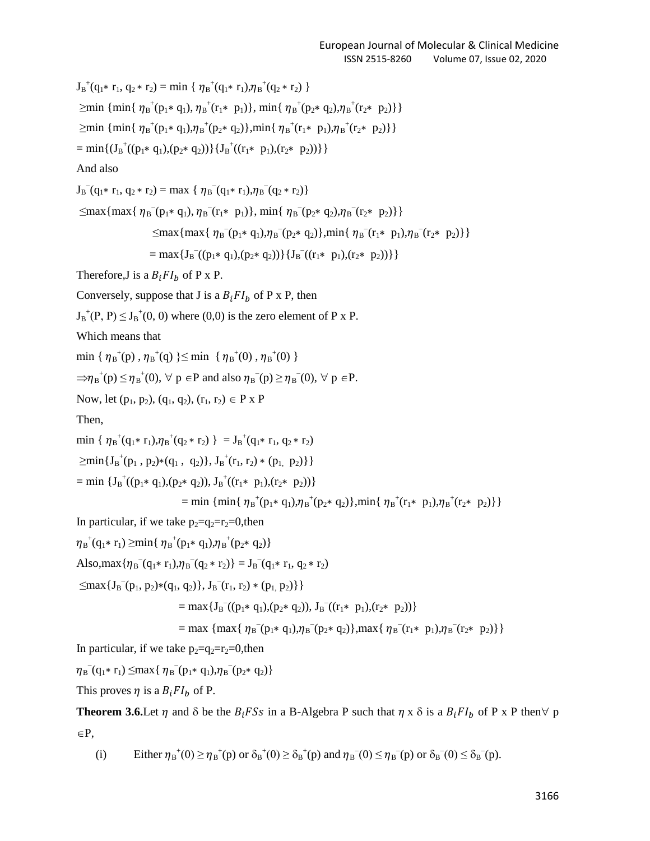$J_B^+(q_1 * r_1, q_2 * r_2) = min \{ \eta_B^+(q_1 * r_1), \eta_B^+(q_2 * r_2) \}$  $\geq$ min { min{  $\eta_{B}^{+}(p_{1} * q_{1}), \eta_{B}^{+}(r_{1} * p_{1})$ }, min{  $\eta_{B}^{+}(p_{2} * q_{2}), \eta_{B}^{+}(r_{2} * p_{2})$ }}  $\geq$ min { min{  $\eta_B^+(p_1 * q_1), \eta_B^+(p_2 * q_2)$ },min{  $\eta_B^+(r_1 * p_1), \eta_B^+(r_2 * p_2)$ }  $= \min\{(J_B^+((p_1 * q_1), (p_2 * q_2))\}\{J_B^+((r_1 * p_1), (r_2 * p_2))\}\}\$ And also  $J_B^{-}(q_1 * r_1, q_2 * r_2) = max \{ \eta_B^{-}(q_1 * r_1), \eta_B^{-}(q_2 * r_2) \}$  $\leq$ max{max{  $\eta_{B}^{-}(p_{1} \ast q_{1}), \eta_{B}^{-}(r_{1} \ast p_{1})$ }, min{  $\eta_{B}^{-}(p_{2} \ast q_{2}), \eta_{B}^{-}(r_{2} \ast p_{2})$ }}  $\leq$ max{max{ $\eta_B^-(p_1 * q_1), \eta_B^-(p_2 * q_2)$ },min{ $\eta_B^-(r_1 * p_1), \eta_B^-(r_2 * p_2)$ }}  $=$  max { $J_B$ <sup>-</sup>((p<sub>1</sub>\* q<sub>1</sub>),(p<sub>2</sub>\* q<sub>2</sub>))} { $J_B$ <sup>-</sup>((r<sub>1</sub>\* p<sub>1</sub>),(r<sub>2</sub>\* p<sub>2</sub>))}} Therefore, J is a  $B_i F I_b$  of P x P. Conversely, suppose that J is a  $B_i F I_b$  of P x P, then  $J_B^+(P, P) \leq J_B^+(0, 0)$  where  $(0,0)$  is the zero element of P x P. Which means that  $\min \{ \eta_{B}^{\dagger}(p)$ ,  $\eta_{B}^{\dagger}(q) \} \leq \min \{ \eta_{B}^{\dagger}(0)$ ,  $\eta_{B}^{\dagger}(0) \}$  $\Rightarrow \eta_B^+(p) \leq \eta_B^+(0)$ ,  $\forall p \in P$  and also  $\eta_B^-(p) \geq \eta_B^-(0)$ ,  $\forall p \in P$ . Now, let  $(p_1, p_2)$ ,  $(q_1, q_2)$ ,  $(r_1, r_2) \in P \times P$ Then, min {  $\eta_B^+(q_1 * r_1), \eta_B^+(q_2 * r_2)$  } =  $J_B^+(q_1 * r_1, q_2 * r_2)$  $\geq$ min{J<sub>B</sub><sup>+</sup>(p<sub>1</sub>, p<sub>2</sub>)\*(q<sub>1</sub>, q<sub>2</sub>)}, J<sub>B</sub><sup>+</sup>(r<sub>1</sub>, r<sub>2</sub>)\* (p<sub>1,</sub> p<sub>2</sub>)}}  $=$  min { $J_B^+((p_1 * q_1), (p_2 * q_2)), J_B^+((r_1 * p_1), (r_2 * p_2))$ } = min { min{  $\eta_{B}^{+}(p_{1} \ast q_{1}), \eta_{B}^{+}(p_{2} \ast q_{2})$ },min{  $\eta_{B}^{+}(r_{1} \ast p_{1}), \eta_{B}^{+}(r_{2} \ast p_{2})$ } In particular, if we take  $p_2=q_2=r_2=0$ , then  ${\eta_{\rm B}}^+({\rm q}_1\ast {\rm r}_1) \geq \min\{ \; {\eta_{\rm B}}^+({\rm p}_1\ast {\rm q}_1), {\eta_{\rm B}}^+({\rm p}_2\ast {\rm q}_2) \}$ Also, max  $\{\eta_{B}^{-}(q_{1} * r_{1}), \eta_{B}^{-}(q_{2} * r_{2})\} = J_{B}^{-}(q_{1} * r_{1}, q_{2} * r_{2})$  $\leq$ max $\{J_B^-(p_1, p_2)*(q_1, q_2)\}, J_B^-(r_1, r_2)*(p_1, p_2)\}\$  $=$  max { $J_B^{-}((p_1 * q_1), (p_2 * q_2)), J_B^{-}((r_1 * p_1), (r_2 * p_2))$ }  $=$  max {  $\eta_{B}^{-}(\mathbf{p}_{1} \cdot \mathbf{q}_{1}), \eta_{B}^{-}(\mathbf{p}_{2} \cdot \mathbf{q}_{2})$ },max {  $\eta_{B}^{-}(\mathbf{r}_{1} \cdot \mathbf{p}_{1}), \eta_{B}^{-}(\mathbf{r}_{2} \cdot \mathbf{p}_{2})$ } In particular, if we take  $p_2=q_2=r_2=0$ , then  $\eta_{\rm B}^{\text{}}({\rm q}_1 * {\rm r}_1) \leq \max\{\eta_{\rm B}^{\text{}}({\rm p}_1 * {\rm q}_1), \eta_{\rm B}^{\text{}}({\rm p}_2 * {\rm q}_2)\}\$ This proves  $\eta$  is a  $B_i F I_b$  of P. **Theorem 3.6.** Let  $\eta$  and  $\delta$  be the  $B_i$  FSs in a B-Algebra P such that  $\eta$  x  $\delta$  is a  $B_i$  FI<sub>b</sub> of P x P then  $\forall$  p

 $\in$ P,

(i) Either  $\eta_{B}^{+}(0) \ge \eta_{B}^{+}(p)$  or  $\delta_{B}^{+}(0) \ge \delta_{B}^{+}(p)$  and  $\eta_{B}^{-}(0) \le \eta_{B}^{-}(p)$  or  $\delta_{B}^{-}(0) \le \delta_{B}^{-}(p)$ .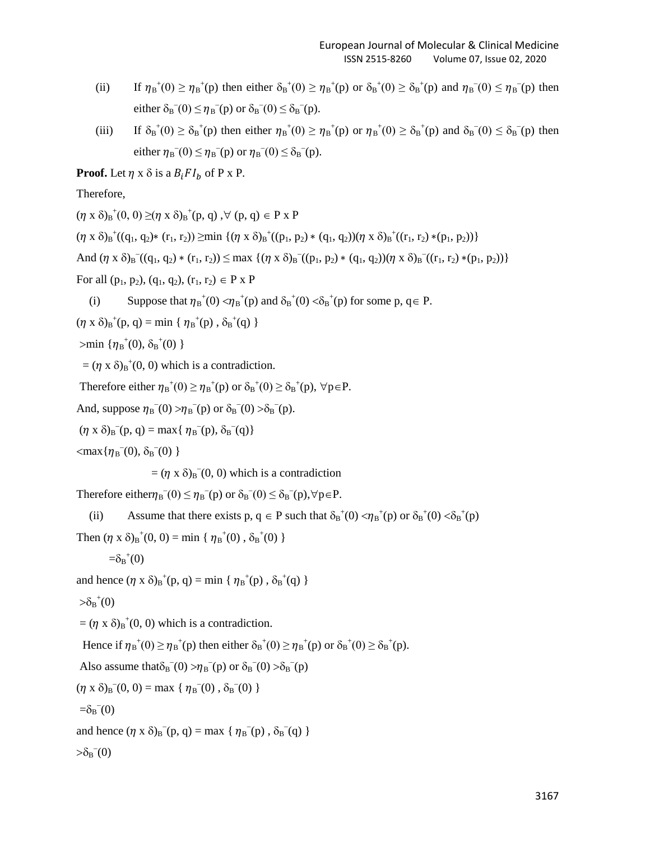- (ii) If  $\eta_B^+(0) \geq \eta_B^+(p)$  then either  $\delta_B^+(0) \geq \eta_B^+(p)$  or  $\delta_B^+(0) \geq \delta_B^+(p)$  and  $\eta_B^-(0) \leq \eta_B^-(p)$  then either  $\delta_B^-(0) \leq \eta_B^-(p)$  or  $\delta_B^-(0) \leq \delta_B^-(p)$ .
- (iii) If  $\delta_B^+(0) \ge \delta_B^+(p)$  then either  $\eta_B^+(0) \ge \eta_B^+(p)$  or  $\eta_B^+(0) \ge \delta_B^+(p)$  and  $\delta_B^-(0) \le \delta_B^-(p)$  then either  $\eta_B^-(0) \leq \eta_B^-(p)$  or  $\eta_B^-(0) \leq \delta_B^-(p)$ .

**Proof.** Let  $\eta$  x  $\delta$  is a  $B_i F I_h$  of P x P.

Therefore,

 $(\eta \times \delta)_B^{\dagger}(0, 0) \geq (\eta \times \delta)_B^{\dagger}(p, q) , \forall (p, q) \in P \times P$  $(\eta \times \delta)_{B}^{+}((q_1, q_2) * (r_1, r_2)) \geq \min \{(\eta \times \delta)_{B}^{+}((p_1, p_2) * (q_1, q_2))(\eta \times \delta)_{B}^{+}((r_1, r_2) * (p_1, p_2))\}$ And  $(\eta \times \delta)_B^-(q_1, q_2) * (r_1, r_2) \le \max \{ (\eta \times \delta)_B^-(p_1, p_2) * (q_1, q_2) (\eta \times \delta)_B^-(r_1, r_2) * (p_1, p_2) \}$ For all  $(p_1, p_2)$ ,  $(q_1, q_2)$ ,  $(r_1, r_2) \in P \times P$ 

(i) Suppose that  $\eta_B^+(0) < \eta_B^+(p)$  and  $\delta_B^+(0) < \delta_B^+(p)$  for some p,  $q \in P$ .

 $(\eta \times \delta)_{B}^{+}(p, q) = \min \{ \eta_{B}^{+}(p), \delta_{B}^{+}(q) \}$ 

 $>$ min { $\eta_B^{\dagger}(0), \delta_B^{\dagger}(0)$  }

 $= (\eta \times \delta)_B^{\dagger} (0, 0)$  which is a contradiction.

Therefore either  $\eta_{B}^+(0) \geq \eta_{B}^+(p)$  or  $\delta_{B}^+(0) \geq \delta_{B}^+(p)$ ,  $\forall p \in P$ .

And, suppose  $\eta_B(0) > \eta_B(p)$  or  $\delta_B(0) > \delta_B(p)$ .

 $(\eta \times \delta)_B^-(p, q) = \max{\{\eta_B^-(p), \delta_B^-(q)\}}$ 

 $\langle \max{\{\eta_{\rm B}^-(0),\delta_{\rm B}^-(0)}\}\rangle$ 

 $= (\eta \times \delta)_B(0, 0)$  which is a contradiction

Therefore either $\eta_{\rm B}^-(0) \leq \eta_{\rm B}^-(p)$  or  $\delta_{\rm B}^-(0) \leq \delta_{\rm B}^-(p)$ ,  $\forall p \in P$ .

(ii) Assume that there exists p,  $q \in P$  such that  $\delta_B^+(0) < \eta_B^+(p)$  or  $\delta_B^+(0) < \delta_B^+(p)$ 

Then  $(\eta \times \delta)_B^+(0, 0) = \min \{ \eta_B^+(0), \delta_B^+(0) \}$ 

$$
=\delta_{\mathrm{B}}^{~~+}(0)
$$

and hence  $(\eta \times \delta)_{B}^{+}(p, q) = \min \{ \eta_{B}^{+}(p), \delta_{B}^{+}(q) \}$ 

 $\delta_B^+(0)$ 

 $= (\eta \times \delta)_B^{\dagger} (0, 0)$  which is a contradiction.

Hence if  $\eta_B^+(0) \ge \eta_B^+(p)$  then either  $\delta_B^+(0) \ge \eta_B^+(p)$  or  $\delta_B^+(0) \ge \delta_B^+(p)$ .

Also assume that  $\delta_B(0) > \eta_B(p)$  or  $\delta_B(0) > \delta_B(p)$ 

 $(\eta \times \delta)_B^-(0, 0) = \max \{ \eta_B^-(0), \delta_B^-(0) \}$ 

 $= \delta_B(0)$ 

and hence  $(\eta \times \delta)_B^-(p, q) = \max \{ \eta_B^-(p), \delta_B^-(q) \}$ 

$$
\mathbf{>}\delta _{B}^{-}(0)
$$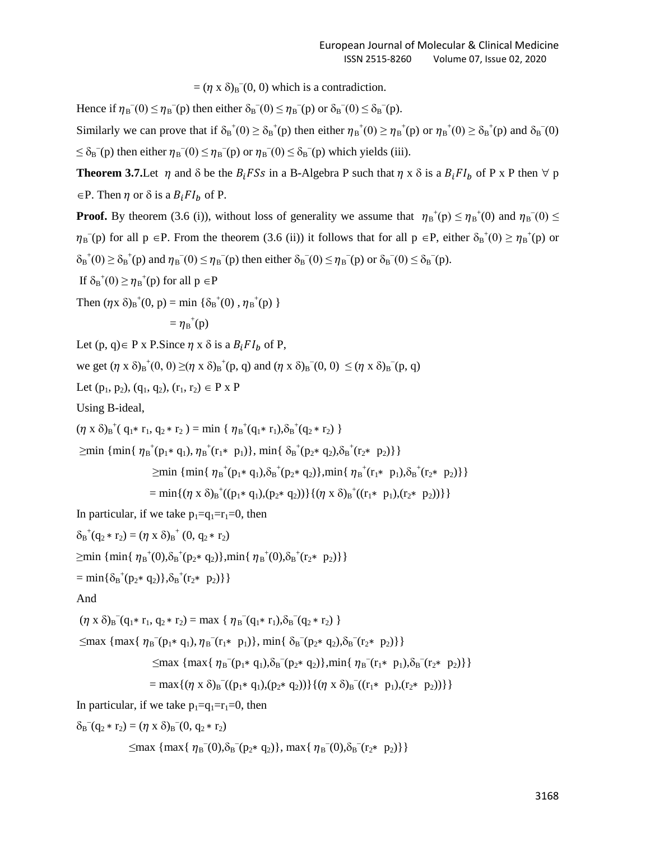$= (\eta \times \delta)_{B}^{\circ}(0, 0)$  which is a contradiction.

Hence if  $\eta_B(0) \leq \eta_B(p)$  then either  $\delta_B(0) \leq \eta_B(p)$  or  $\delta_B(0) \leq \delta_B(p)$ .

Similarly we can prove that if  $\delta_B^+(0) \ge \delta_B^+(p)$  then either  $\eta_B^+(0) \ge \eta_B^+(p)$  or  $\eta_B^+(0) \ge \delta_B^+(p)$  and  $\delta_B^-(0)$  $\leq \delta_B$ <sup>-</sup>(p) then either  $\eta_B$ <sup>-</sup>(0)  $\leq \eta_B$ <sup>-</sup>(p) or  $\eta_B$ <sup>-</sup>(0)  $\leq \delta_B$ <sup>-</sup>(p) which yields (iii).

**Theorem 3.7.** Let  $\eta$  and  $\delta$  be the  $B_i$  FSs in a B-Algebra P such that  $\eta \times \delta$  is a  $B_i$  FI<sub>b</sub> of P x P then  $\forall p$  $\in$ P. Then  $\eta$  or  $\delta$  is a  $B_i F I_b$  of P.

**Proof.** By theorem (3.6 (i)), without loss of generality we assume that  $\eta_B^+(p) \leq \eta_B^+(0)$  and  $\eta_B^-(0) \leq$  $\eta_B(\mathbf{p})$  for all  $\mathbf{p} \in \mathbf{P}$ . From the theorem (3.6 (ii)) it follows that for all  $\mathbf{p} \in \mathbf{P}$ , either  $\delta_B^+(0) \ge \eta_B^+(\mathbf{p})$  or  $\delta_B^+(0) \geq \delta_B^+(p)$  and  $\eta_B^-(0) \leq \eta_B^-(p)$  then either  $\delta_B^-(0) \leq \eta_B^-(p)$  or  $\delta_B^-(0) \leq \delta_B^-(p)$ .

If  $\delta_B^+(0) \ge \eta_B^+(p)$  for all  $p \in P$ 

Then  $(\eta x \delta)_B^+(0, p) = \min \{ \delta_B^+(0), \eta_B^+(p) \}$ 

$$
= \eta_{\mathrm{B}}^{+}(p)
$$

Let  $(p, q) \in P$  x P.Since  $\eta$  x  $\delta$  is a  $B_i F I_b$  of P,

we get  $(\eta \times \delta)_{B}^+(0, 0) \geq (\eta \times \delta)_{B}^+(p, q)$  and  $(\eta \times \delta)_{B}^-(0, 0) \leq (\eta \times \delta)_{B}^-(p, q)$ 

Let  $(p_1, p_2)$ ,  $(q_1, q_2)$ ,  $(r_1, r_2) \in P \times P$ 

Using B-ideal,

$$
(\eta \times \delta)_{B}^{+}(\mathbf{q}_{1} * \mathbf{r}_{1}, \mathbf{q}_{2} * \mathbf{r}_{2}) = \min \{ \eta_{B}^{+}(\mathbf{q}_{1} * \mathbf{r}_{1}), \delta_{B}^{+}(\mathbf{q}_{2} * \mathbf{r}_{2}) \}
$$
  
\n
$$
\geq \min \{ \min \{ \eta_{B}^{+}(\mathbf{p}_{1} * \mathbf{q}_{1}), \eta_{B}^{+}(\mathbf{r}_{1} * \mathbf{p}_{1}) \}, \min \{ \delta_{B}^{+}(\mathbf{p}_{2} * \mathbf{q}_{2}), \delta_{B}^{+}(\mathbf{r}_{2} * \mathbf{p}_{2}) \} \}
$$
  
\n
$$
\geq \min \{ \min \{ \eta_{B}^{+}(\mathbf{p}_{1} * \mathbf{q}_{1}), \delta_{B}^{+}(\mathbf{p}_{2} * \mathbf{q}_{2}) \}, \min \{ \eta_{B}^{+}(\mathbf{r}_{1} * \mathbf{p}_{1}), \delta_{B}^{+}(\mathbf{r}_{2} * \mathbf{p}_{2}) \} \}
$$
  
\n
$$
= \min \{ (\eta \times \delta)_{B}^{+}((\mathbf{p}_{1} * \mathbf{q}_{1}), (\mathbf{p}_{2} * \mathbf{q}_{2})) \} \{ (\eta \times \delta)_{B}^{+}((\mathbf{r}_{1} * \mathbf{p}_{1}), (\mathbf{r}_{2} * \mathbf{p}_{2})) \} \}
$$

In particular, if we take  $p_1=q_1=r_1=0$ , then

 $\delta_B^+(q_2 * r_2) = (\eta \times \delta)_B^+(0, q_2 * r_2)$ 

 $\geq$ min { min{  $\eta_B^+(0), \delta_B^+(p_2 * q_2)$ },min{  $\eta_B^+(0), \delta_B^+(r_2 * p_2)$ }

 $= min{\delta_B^+(p_2 * q_2)}, \delta_B^+(r_2 * p_2)\}$ 

And

 $(\eta \times \delta)_{B}^-(q_1 * r_1, q_2 * r_2) = \max \{ \eta_B^-(q_1 * r_1), \delta_B^-(q_2 * r_2) \}$ 

 $\leq$ max { max{  $\eta_B^-(p_1 * q_1), \eta_B^-(r_1 * p_1)$ }, min{  $\delta_B^-(p_2 * q_2), \delta_B^-(r_2 * p_2)$ }}

$$
\leq \max \left\{ \max \{ \eta_B^{-}(p_1 \ast q_1), \delta_B^{-}(p_2 \ast q_2) \}, \min \{ \eta_B^{-}(r_1 \ast p_1), \delta_B^{-}(r_2 \ast p_2) \} \right\}
$$

$$
= max\{ (\eta \times \delta)_B (p_1 * q_1), (p_2 * q_2)) \} \{ (\eta \times \delta)_B (r_1 * p_1), (r_2 * p_2)) \} \}
$$

In particular, if we take  $p_1=q_1=r_1=0$ , then

$$
\delta_B(q_2 * r_2) = (\eta \times \delta)_B(0, q_2 * r_2)
$$

 $\leq$ max { max{  $\eta_{B}^{-}(0), \delta_{B}^{-}(p_{2} * q_{2})$ }, max{  $\eta_{B}^{-}(0), \delta_{B}^{-}(r_{2} * p_{2})$ }